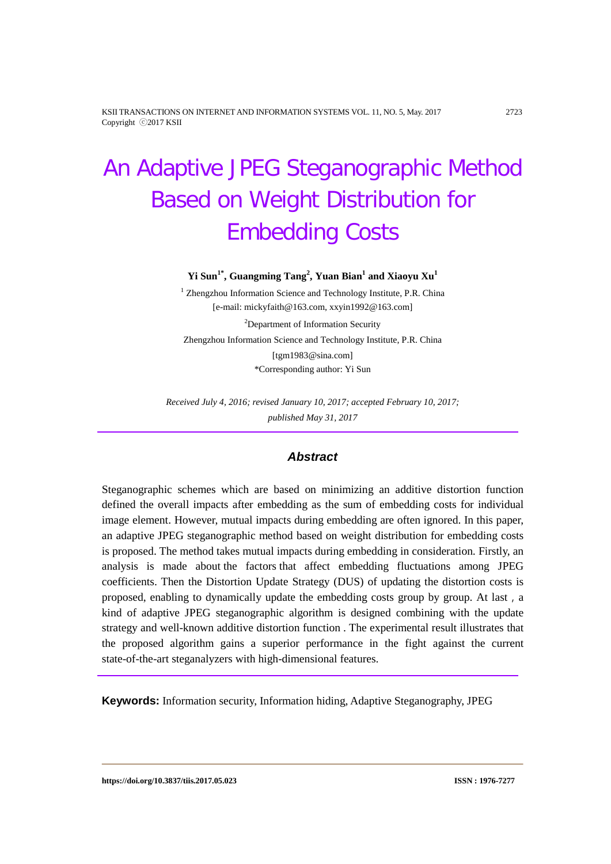KSII TRANSACTIONS ON INTERNET AND INFORMATION SYSTEMS VOL. 11, NO. 5, May. 2017 2723 Copyright ⓒ2017 KSII

# An Adaptive JPEG Steganographic Method Based on Weight Distribution for Embedding Costs

**Yi Sun1\* , Guangming Tang<sup>2</sup> , Yuan Bian1 and Xiaoyu Xu1**

<sup>1</sup> Zhengzhou Information Science and Technology Institute, P.R. China [e-mail: mickyfaith@163.com, xxyin1992@163.com] <sup>2</sup>Department of Information Security Zhengzhou Information Science and Technology Institute, P.R. China [tgm1983@sina.com] \*Corresponding author: Yi Sun

*Received July 4, 2016; revised January 10, 2017; accepted February 10, 2017; published May 31, 2017*

## *Abstract*

Steganographic schemes which are based on minimizing an additive distortion function defined the overall impacts after embedding as the sum of embedding costs for individual image element. However, mutual impacts during embedding are often ignored. In this paper, an adaptive JPEG steganographic method based on weight distribution for embedding costs is proposed. The method takes mutual impacts during embedding in consideration. Firstly, an analysis is made about the factors that affect embedding fluctuations among JPEG coefficients. Then the Distortion Update Strategy (DUS) of updating the distortion costs is proposed, enabling to dynamically update the embedding costs group by group. At last, a kind of adaptive JPEG steganographic algorithm is designed combining with the update strategy and well-known additive distortion function . The experimental result illustrates that the proposed algorithm gains a superior performance in the fight against the current state-of-the-art steganalyzers with high-dimensional features.

**Keywords:** Information security, Information hiding, Adaptive Steganography, JPEG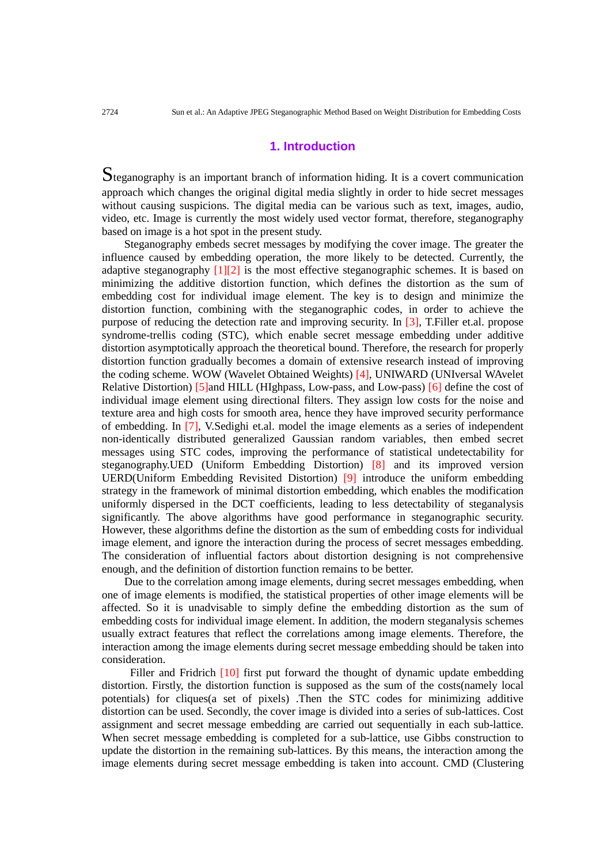# **1. Introduction**

Steganography is an important branch of information hiding. It is a covert communication approach which changes the original digital media slightly in order to hide secret messages without causing suspicions. The digital media can be various such as text, images, audio, video, etc. Image is currently the most widely used vector format, therefore, steganography based on image is a hot spot in the present study.

Steganography embeds secret messages by modifying the cover image. The greater the influence caused by embedding operation, the more likely to be detected. Currently, the adaptive steganography  $[1][2]$  is the most effective steganographic schemes. It is based on minimizing the additive distortion function, which defines the distortion as the sum of embedding cost for individual image element. The key is to design and minimize the distortion function, combining with the steganographic codes, in order to achieve the purpose of reducing the detection rate and improving security. In [3], T.Filler et.al. propose syndrome-trellis coding (STC), which enable secret message embedding under additive distortion asymptotically approach the theoretical bound. Therefore, the research for properly distortion function gradually becomes a domain of extensive research instead of improving the coding scheme. WOW (Wavelet Obtained Weights) [4], UNIWARD (UNIversal WAvelet Relative Distortion) [5]and HILL (HIghpass, Low-pass, and Low-pass) [6] define the cost of individual image element using directional filters. They assign low costs for the noise and texture area and high costs for smooth area, hence they have improved security performance of embedding. In [7], V.Sedighi et.al. model the image elements as a series of independent non-identically distributed generalized Gaussian random variables, then embed secret messages using STC codes, improving the performance of statistical undetectability for steganography.UED (Uniform Embedding Distortion) [8] and its improved version UERD[\(Uniform Embedding Revisited](http://ieeexplore.ieee.org/xpls/abs_all.jsp?arnumber=7225122) Distortion) [9] introduce the uniform embedding strategy in the framework of minimal distortion embedding, which enables the modification uniformly dispersed in the DCT coefficients, leading to less detectability of steganalysis significantly. The above algorithms have good performance in steganographic security. However, these algorithms define the distortion as the sum of embedding costs for individual image element, and ignore the interaction during the process of secret messages embedding. The [consideration](app:ds:consideration) of influential factors about distortion designing is not comprehensive enough, and the definition of distortion function remains to be better.

Due to the correlation among image elements, during secret messages embedding, when one of image elements is modified, the statistical properties of other image elements will be affected. So it is [unadvisable](http://dict.youdao.com/w/unadvisable/%23keyfrom=E2Ctranslation) to simply define the embedding distortion as the sum of embedding costs for individual image element. In addition, the modern steganalysis schemes usually extract features that reflect the correlations among image elements. Therefore, the interaction among the image elements during secret message embedding should be taken into consideration.

Filler and Fridrich [10] first put forward the thought of dynamic update embedding distortion. Firstly, the distortion function is supposed as the sum of the costs(namely local potentials) for cliques(a set of pixels) .Then the STC codes for minimizing additive distortion can be used. Secondly, the cover image is divided into a series of sub-lattices. Cost assignment and secret message embedding are carried out sequentially in each sub-lattice. When secret message embedding is completed for a sub-lattice, use Gibbs construction to update the distortion in the remaining sub-lattices. By this means, the interaction among the image elements during secret message embedding is taken into account. CMD (Clustering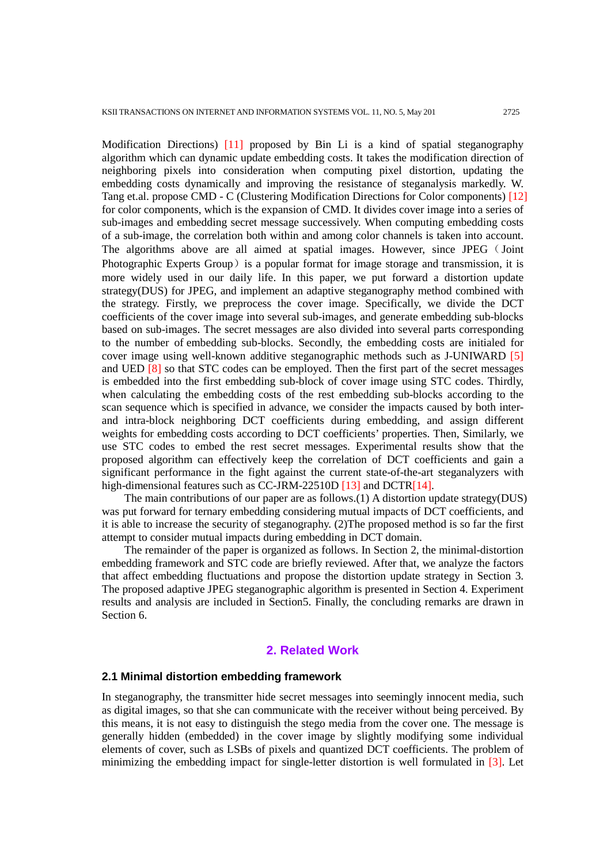Modification Directions) [11] proposed by Bin Li is a kind of spatial steganography algorithm which can dynamic update embedding costs. It takes the modification direction of neighboring pixels into consideration when computing pixel distortion, updating the embedding costs dynamically and improving the resistance of steganalysis markedly. W. Tang et.al. propose CMD - C (Clustering Modification Directions for Color components) [12] for color components, which is the expansion of CMD. It divides cover image into a series of sub-images and embedding secret message successively. When computing embedding costs of a sub-image, the correlation both within and among color channels is taken into account. The algorithms above are all aimed at spatial images. However, since JPEG (Joint Photographic Experts Group) is a popular format for image storage and transmission, it is more widely used in our daily life. In this paper, we put forward a distortion update strategy(DUS) for JPEG, and implement an adaptive steganography method combined with the strategy. Firstly, we preprocess the cover image. Specifically, we divide the DCT coefficients of the cover image into several sub-images, and generate embedding sub-blocks based on sub-images. The secret messages are also divided into several parts corresponding to the number of embedding sub-blocks. Secondly, the embedding costs are initialed for cover image using well-known additive steganographic methods such as J-UNIWARD [5] and UED [8] so that STC codes can be employed. Then the first part of the secret messages is embedded into the first embedding sub-block of cover image using STC codes. Thirdly, when calculating the embedding costs of the rest embedding sub-blocks according to the scan sequence which is specified in advance, we consider the impacts caused by both interand intra-block neighboring DCT coefficients during embedding, and assign different weights for embedding costs according to DCT coefficients' properties. Then, Similarly, we use STC codes to embed the rest secret messages. Experimental results show that the proposed algorithm can effectively keep the correlation of DCT coefficients and gain a significant performance in the fight against the current state-of-the-art steganalyzers with high-dimensional features such as CC-JRM-22510D [13] and DCTR[14].

The main contributions of our paper are as follows.(1) A distortion update strategy(DUS) was put forward for ternary embedding considering mutual impacts of DCT coefficients, and it is able to increase the security of steganography. (2)The proposed method is so far the first attempt to consider mutual impacts during embedding in DCT domain.

The remainder of the paper is organized as follows. In Section 2, the minimal-distortion embedding framework and STC code are briefly reviewed. After that, we analyze the factors that affect embedding fluctuations and propose the distortion update strategy in Section 3. The proposed adaptive JPEG steganographic algorithm is presented in Section 4. Experiment results and analysis are included in Section5. Finally, the concluding remarks are drawn in Section 6.

# **2. Related Work**

#### **2.1 Minimal distortion embedding framework**

In steganography, the transmitter hide secret messages into seemingly innocent media, such as digital images, so that she can communicate with the receiver without being perceived. By this means, it is not easy to distinguish the stego media from the cover one. The message is generally hidden (embedded) in the cover image by slightly modifying some individual elements of cover, such as LSBs of pixels and quantized DCT coefficients. The problem of minimizing the embedding impact for single-letter distortion is well formulated in [3]. Let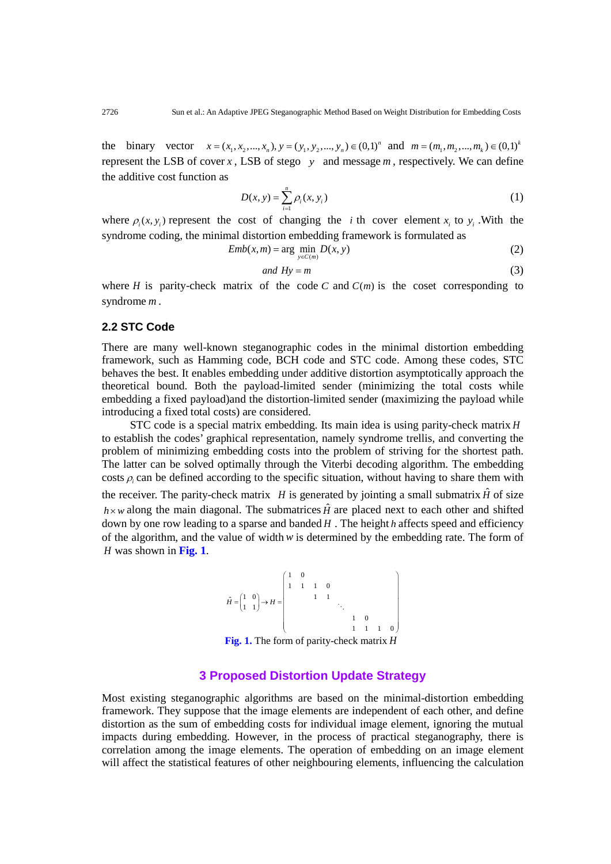the binary vector  $x = (x_1, x_2, ..., x_n), y = (y_1, y_2, ..., y_n) \in (0,1)^n$  and  $m = (m_1, m_2, ..., m_k) \in (0,1)^k$ represent the LSB of cover *x*, LSB of stego *y* and message *m*, respectively. We can define the additive cost function as

$$
D(x, y) = \sum_{i=1}^{n} \rho_i(x, y_i)
$$
 (1)

where  $\rho_i(x, y_i)$  represent the cost of changing the *i* th cover element  $x_i$  to  $y_i$ . With the syndrome coding, the minimal distortion embedding framework is formulated as

$$
Emb(x,m) = \arg\min_{y \in C(m)} D(x,y) \tag{2}
$$

$$
and \; Hy = m \tag{3}
$$

where *H* is parity-check matrix of the code *C* and  $C(m)$  is the coset corresponding to syndrome *m* .

## **2.2 STC Code**

There are many well-known steganographic codes in the minimal distortion embedding framework, such as Hamming code, BCH code and STC code. Among these codes, STC behaves the best. It enables embedding under additive distortion asymptotically approach the theoretical bound. Both the payload-limited sender (minimizing the total costs while embedding a fixed payload)and the distortion-limited sender (maximizing the payload while introducing a fixed total costs) are considered.

STC code is a special matrix embedding. Its main idea is using parity-check matrix *H* to establish the codes' graphical representation, namely syndrome trellis, and converting the problem of minimizing embedding costs into the problem of striving for the shortest path. The latter can be solved optimally through the Viterbi decoding algorithm. The embedding costs  $\rho_i$  can be defined according to the specific situation, without having to share them with the receiver. The parity-check matrix *H* is generated by jointing a small submatrix  $\hat{H}$  of size  $h \times w$  along the main diagonal. The submatrices  $\hat{H}$  are placed next to each other and shifted down by one row leading to a sparse and banded *H* . The height *h* affects speed and efficiency of the algorithm, and the value of width *w* is determined by the embedding rate. The form of *H* was shown in **Fig. 1**.

1 0 1110 1 0 1 1 <sup>ˆ</sup> 1 1 1 0 1110 *H H* = →= 

**Fig. 1.** The form of parity-check matrix *H*

# **3 Proposed Distortion Update Strategy**

Most existing steganographic algorithms are based on the minimal-distortion embedding framework. They suppose that the image elements are independent of each other, and define distortion as the sum of embedding costs for individual image element, ignoring the mutual impacts during embedding. However, in the process of practical steganography, there is correlation among the image elements. The operation of embedding on an image element will affect the statistical features of other neighbouring elements, influencing the calculation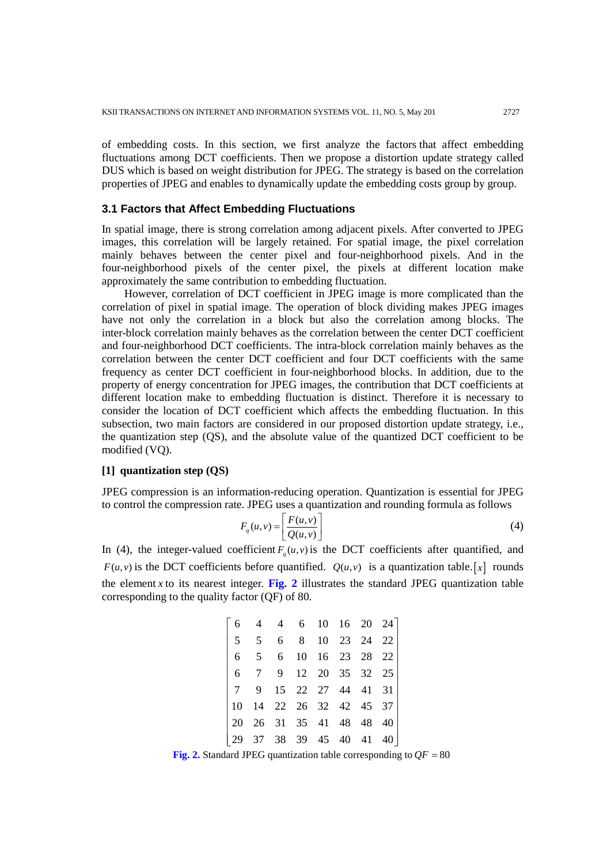of embedding costs. In this section, we first analyze the factors that affect embedding fluctuations among DCT coefficients. Then we propose a distortion update strategy called DUS which is based on weight distribution for JPEG. The strategy is based on the correlation properties of JPEG and enables to dynamically update the embedding costs group by group.

# **3.1 Factors that Affect Embedding Fluctuations**

In spatial image, there is strong correlation among adjacent pixels. After converted to JPEG images, this correlation will be largely retained. For spatial image, the pixel correlation mainly behaves between the center pixel and four-neighborhood pixels. And in the four-neighborhood pixels of the center pixel, the pixels at different location make approximately the same contribution to embedding fluctuation.

However, correlation of DCT coefficient in JPEG image is more complicated than the correlation of pixel in spatial image. The operation of block dividing makes JPEG images have not only the correlation in a block but also the correlation among blocks. The inter-block correlation mainly behaves as the correlation between the center DCT coefficient and four-neighborhood DCT coefficients. The intra-block correlation mainly behaves as the correlation between the center DCT coefficient and four DCT coefficients with the same frequency as center DCT coefficient in four-neighborhood blocks. In addition, due to the property of energy concentration for JPEG images, the contribution that DCT coefficients at different location make to embedding fluctuation is distinct. Therefore it is necessary to consider the location of DCT coefficient which affects the embedding fluctuation. In this subsection, two main factors are considered in our proposed distortion update strategy, i.e., the quantization step (QS), and the absolute value of the quantized DCT coefficient to be modified (VQ).

#### **[1] quantization step (QS)**

JPEG compression is an information-reducing operation. [Quantization](app:ds:quantization) is essential for JPEG to control the compression rate. JPEG uses a quantization and rounding formula as follows

$$
F_q(u,v) = \left[ \frac{F(u,v)}{Q(u,v)} \right] \tag{4}
$$

In (4), the integer-valued coefficient  $F_a(u, v)$  is the DCT coefficients after quantified, and  $F(u, v)$  is the DCT coefficients before quantified.  $Q(u, v)$  is a quantization table. [x] rounds the element *x* to its nearest integer. **Fig. 2** illustrates the standard JPEG quantization table corresponding to the quality factor (QF) of 80.

|    |                      |   |  | 4 4 6 10 16 20 24      |    |    |  |
|----|----------------------|---|--|------------------------|----|----|--|
| 5  | $5\overline{)}$      | 6 |  | 8 10 23 24 22          |    |    |  |
| 6  | 5                    | 6 |  | 10 16 23 28 22         |    |    |  |
| 6  |                      | 9 |  | 12 20 35 32 25         |    |    |  |
|    |                      |   |  | 15 22 27 44 41         |    | 31 |  |
| 10 | 14                   |   |  | 22  26  32  42  45  37 |    |    |  |
|    | 20 26 31 35 41 48 48 |   |  |                        |    | 40 |  |
|    |                      |   |  | 37 38 39 45 40         | 41 | 40 |  |

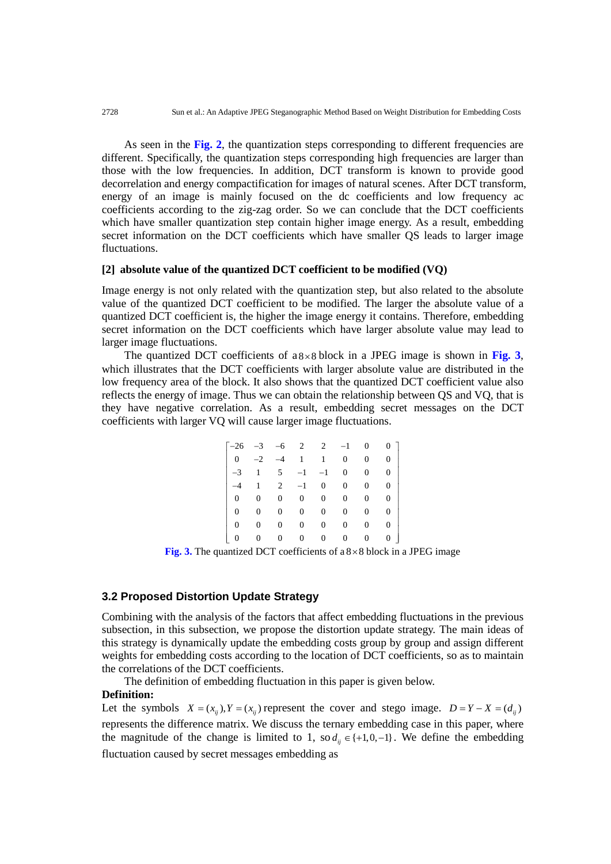As seen in the **Fig.** 2, the quantization steps corresponding to different frequencies are different. Specifically, the quantization steps corresponding high frequencies are larger than those with the low frequencies. In addition, DCT transform is known to provide good decorrelation and energy compactification for images of natural scenes. After DCT transform, energy of an image is mainly focused on the dc coefficients and low frequency ac coefficients according to the zig-zag order. So we can conclude that the DCT coefficients which have smaller quantization step contain higher image energy. As a result, embedding secret information on the DCT coefficients which have smaller QS leads to larger image fluctuations.

#### **[2] absolute value of the quantized DCT coefficient to be modified (VQ)**

Image energy is not only related with the quantization step, but also related to the absolute value of the quantized DCT coefficient to be modified. The larger the absolute value of a quantized DCT coefficient is, the higher the image energy it contains. Therefore, embedding secret information on the DCT coefficients which have larger absolute value may lead to larger image fluctuations.

The quantized DCT coefficients of  $a 8 \times 8$  block in a JPEG image is shown in Fig. 3. which illustrates that the DCT coefficients with larger absolute value are distributed in the low frequency area of the block. It also shows that the quantized DCT coefficient value also reflects the energy of image. Thus we can obtain the relationship between QS and VQ, that is they have negative correlation. As a result, embedding secret messages on the DCT coefficients with larger VQ will cause larger image fluctuations.

| $\begin{bmatrix} -26 & -3 & -6 \end{bmatrix}$ |                  |                  |                | $2 \t 2 \t -1$ |                  | $\overline{0}$ |                |
|-----------------------------------------------|------------------|------------------|----------------|----------------|------------------|----------------|----------------|
| $\begin{array}{ c c } \hline 0 \end{array}$   | $-2$ $-4$        |                  | $\mathbf{1}$   | $\mathbf{1}$   | $\mathbf{0}$     | 0              | $\overline{0}$ |
| $\vert -3 \vert$                              | $\mathbf{1}$     | $5\overline{)}$  | $-1$           | $-1$           | $\boldsymbol{0}$ | 0              | $\overline{0}$ |
| $-4$<br>$\overline{\phantom{a}}$              | 1                | $\overline{2}$   | $-1$           | $\overline{0}$ | $\mathbf{0}$     | 0              | $\overline{0}$ |
| $\overline{0}$<br>I                           | $\overline{0}$   | $\boldsymbol{0}$ | $\overline{0}$ | $\overline{0}$ | $\boldsymbol{0}$ | 0              | $\overline{0}$ |
| $\overline{0}$                                |                  | $\boldsymbol{0}$ | $\overline{0}$ | $\overline{0}$ | $\mathbf{0}$     | 0              | $\overline{0}$ |
| $\overline{0}$<br>$\overline{\phantom{a}}$    |                  | 0                | 0              | 0              | 0                | 0              | $\overline{0}$ |
| $\mathsf{I}$<br>$\overline{0}$                | $\boldsymbol{0}$ | $\boldsymbol{0}$ | 0              | 0              | $\overline{0}$   | 0              | 0              |

**Fig. 3.** The quantized DCT coefficients of  $a 8 \times 8$  block in a JPEG image

## **3.2 Proposed Distortion Update Strategy**

Combining with the analysis of the factors that affect embedding fluctuations in the previous subsection, in this subsection, we propose the distortion update strategy. The main ideas of this strategy is dynamically update the embedding costs group by group and assign different weights for embedding costs according to the location of DCT coefficients, so as to maintain the correlations of the DCT coefficients.

The definition of embedding fluctuation in this paper is given below.

## **Definition:**

Let the symbols  $X = (x_{ij}), Y = (x_{ij})$  represent the cover and stego image.  $D = Y - X = (d_{ij})$ represents the difference matrix. We discuss the ternary embedding case in this paper, where the magnitude of the change is limited to 1, so  $d_{ii} \in \{+1,0,-1\}$ . We define the embedding fluctuation caused by secret messages embedding as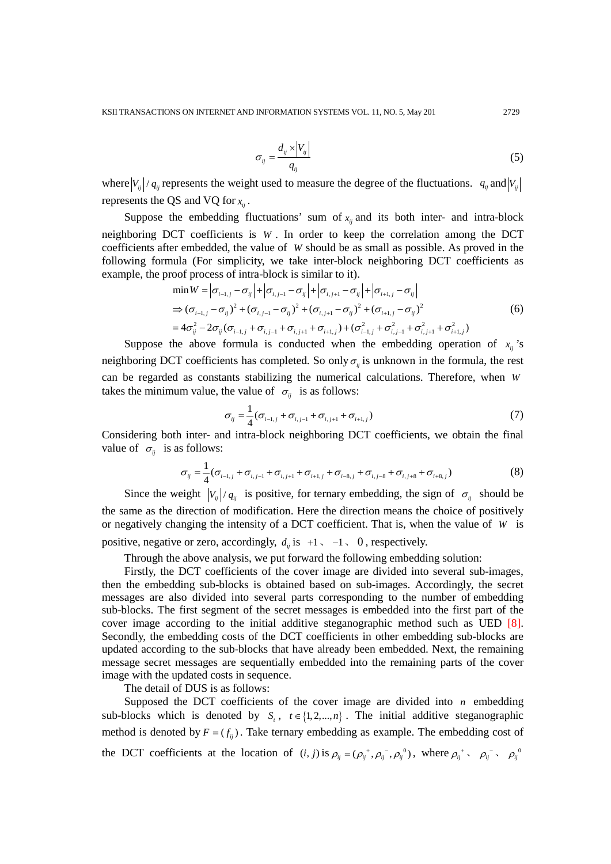$$
\sigma_{ij} = \frac{d_{ij} \times |V_{ij}|}{q_{ij}}
$$
\n<sup>(5)</sup>

where  $|V_{ii}|/q_{ii}$  represents the weight used to measure the degree of the fluctuations.  $q_{ii}$  and  $|V_{ii}|$ represents the QS and VQ for  $x_{ij}$ .

Suppose the embedding fluctuations' sum of  $x_{ij}$  and its both inter- and intra-block neighboring DCT coefficients is *W* . In order to keep the correlation among the DCT coefficients after embedded, the value of *W* should be as small as possible. As proved in the following formula (For simplicity, we take inter-block neighboring DCT coefficients as example, the proof process of intra-block is similar to it).

$$
\min W = \left| \sigma_{i-1,j} - \sigma_{ij} \right| + \left| \sigma_{i,j-1} - \sigma_{ij} \right| + \left| \sigma_{i,j+1} - \sigma_{ij} \right| + \left| \sigma_{i+1,j} - \sigma_{ij} \right| \n\Rightarrow (\sigma_{i-1,j} - \sigma_{ij})^2 + (\sigma_{i,j-1} - \sigma_{ij})^2 + (\sigma_{i,j+1} - \sigma_{ij})^2 + (\sigma_{i+1,j} - \sigma_{ij})^2 \n= 4\sigma_{ij}^2 - 2\sigma_{ij}(\sigma_{i-1,j} + \sigma_{i,j-1} + \sigma_{i,j+1} + \sigma_{i+1,j}) + (\sigma_{i-1,j}^2 + \sigma_{i,j-1}^2 + \sigma_{i,j+1}^2 + \sigma_{i+1,j}^2)
$$
\n(6)

Suppose the above formula is conducted when the embedding operation of  $x_i$  's neighboring DCT coefficients has completed. So only  $\sigma_{ii}$  is unknown in the formula, the rest can be regarded as constants stabilizing the numerical calculations. Therefore, when *W* takes the minimum value, the value of  $\sigma_{ii}$  is as follows:

$$
\sigma_{ij} = \frac{1}{4} (\sigma_{i-1,j} + \sigma_{i,j-1} + \sigma_{i,j+1} + \sigma_{i+1,j})
$$
\n(7)

Considering both inter- and intra-block neighboring DCT coefficients, we obtain the final value of  $\sigma_{ii}$  is as follows:

$$
\sigma_{ij} = \frac{1}{4}(\sigma_{i-1,j} + \sigma_{i,j-1} + \sigma_{i,j+1} + \sigma_{i+1,j} + \sigma_{i-8,j} + \sigma_{i,j-8} + \sigma_{i,j+8} + \sigma_{i+8,j})
$$
(8)

Since the weight  $|V_{ij}|/q_{ij}$  is positive, for ternary embedding, the sign of  $\sigma_{ij}$  should be the same as the direction of modification. Here the direction means the choice of positively or negatively changing the intensity of a DCT coefficient. That is, when the value of *W* is positive, negative or zero, accordingly,  $d_{ij}$  is +1, −1, 0, respectively.

Through the above analysis, we put forward the following embedding solution:

Firstly, the DCT coefficients of the cover image are divided into several sub-images, then the embedding sub-blocks is obtained based on sub-images. Accordingly, the secret messages are also divided into several parts corresponding to the number of embedding sub-blocks. The first segment of the secret messages is embedded into the first part of the cover image according to the initial additive steganographic method such as UED [8]. Secondly, the embedding costs of the DCT coefficients in other embedding sub-blocks are updated according to the sub-blocks that have already been embedded. Next, the remaining message secret messages are sequentially embedded into the remaining parts of the cover image with the updated costs in sequence.

The detail of DUS is as follows:

Supposed the DCT coefficients of the cover image are divided into  $n$  embedding sub-blocks which is denoted by  $S_t$ ,  $t \in \{1, 2, ..., n\}$ . The initial additive steganographic method is denoted by  $F = (f_{ij})$ . Take ternary embedding as example. The embedding cost of the DCT coefficients at the location of  $(i, j)$  is  $\rho_{ij} = (\rho_{ij}^+, \rho_{ij}^-, \rho_{ij}^0)$ , where  $\rho_{ij}^+$ ,  $\rho_{ij}^-$ ,  $\rho_{ij}^0$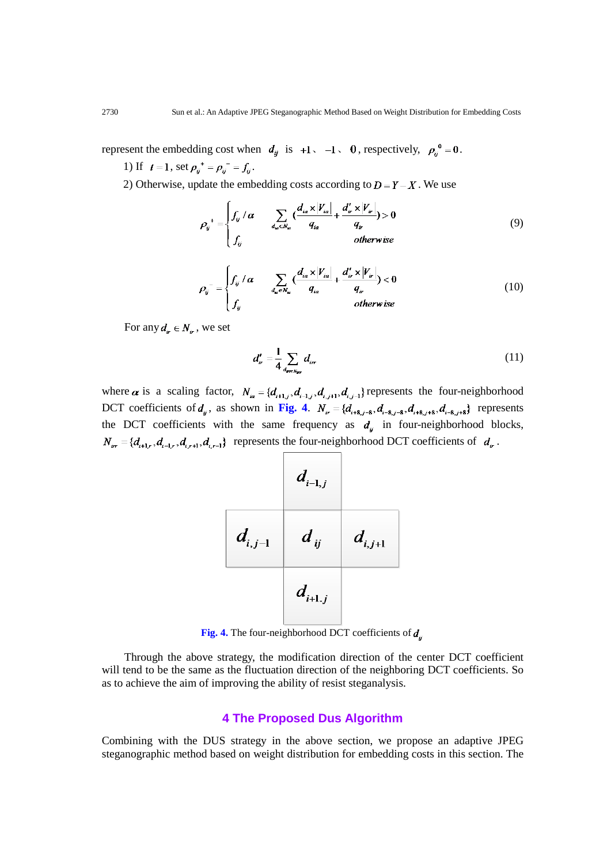represent the embedding cost when  $d_{ij}$  is  $+1$ ,  $-1$ , 0, respectively,  $\rho_{ij}^0 = 0$ .

1) If  $t = 1$ , set  $\rho_{ij}^+ = \rho_{ij}^- = f_{ij}$ .

2) Otherwise, update the embedding costs according to  $D = Y - X$ . We use

$$
\rho_{ij}^{+} = \begin{cases} f_{ij} / \alpha & \sum_{d_{ia} \in N_{ia}} \left( \frac{d_{ia} \times |V_{ia}|}{q_{ia}} + \frac{d'_{ir} \times |V_{ir}|}{q_{ir}} \right) > 0\\ f_{ij} & otherwise \end{cases}
$$
(9)

$$
\rho_{ij}^{-} = \begin{cases} f_{ij} / \alpha & \sum_{d_{\alpha} \in N_{\alpha}} \left( \frac{d_{ia} \times |V_{ia}|}{q_{ia}} + \frac{d_{ir}^{\prime} \times |V_{ir}|}{q_{ir}} \right) < 0 \\ f_{ij} & \text{otherwise} \end{cases} \tag{10}
$$

For any  $d_n \in N_n$ , we set

$$
d'_{ir} = \frac{1}{4} \sum_{d_{irr}N_{irr}} d_{irr} \tag{11}
$$

where  $\alpha$  is a scaling factor,  $N_{ia} = \{d_{i+1,i}, d_{i-1,i}, d_{i,i+1}, d_{i,i-1}\}$  represents the four-neighborhood DCT coefficients of  $d_{ij}$ , as shown in Fig. 4.  $N_{ir} = \{d_{i+8,j-8}, d_{i-8,j-8}, d_{i+8,j+8}, d_{i-8,j+8}\}\$  represents the DCT coefficients with the same frequency as  $d_{ii}$  in four-neighborhood blocks,  $N_{irr} = \{d_{i+1}, d_{i-1}, d_{i,r+1}, d_{i,r-1}\}\$  represents the four-neighborhood DCT coefficients of  $d_{ir}$ .



**Fig. 4.** The four-neighborhood DCT coefficients of  $d_i$ 

Through the above strategy, the modification direction of the center DCT coefficient will tend to be the same as the fluctuation direction of the neighboring DCT coefficients. So as to achieve the aim of improving the ability of resist steganalysis.

# **4 The Proposed Dus Algorithm**

Combining with the DUS strategy in the above section, we propose an adaptive JPEG steganographic method based on weight distribution for embedding costs in this section. The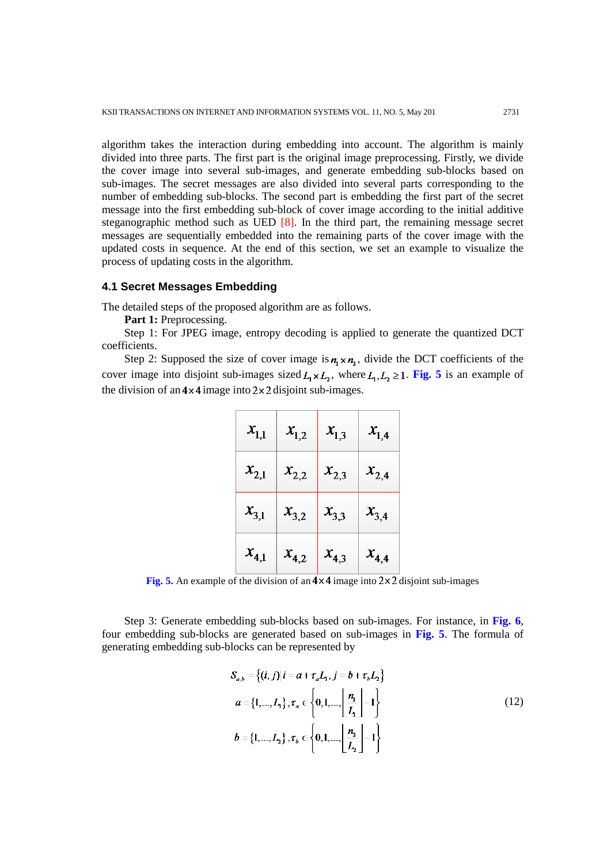algorithm takes the interaction during embedding into account. The algorithm is mainly divided into three parts. The first part is the original image preprocessing. Firstly, we divide the cover image into several sub-images, and generate embedding sub-blocks based on sub-images. The secret messages are also divided into several parts corresponding to the number of embedding sub-blocks. The second part is embedding the first part of the secret message into the first embedding sub-block of cover image according to the initial additive steganographic method such as UED [8]. In the third part, the remaining message secret messages are sequentially embedded into the remaining parts of the cover image with the updated costs in sequence. At the end of this section, we set an example to visualize the process of updating costs in the algorithm.

## **4.1 Secret Messages Embedding**

The detailed steps of the proposed algorithm are as follows.

Part 1: Preprocessing.

Step 1: For JPEG image, entropy decoding is applied to generate the quantized DCT coefficients.

Step 2: Supposed the size of cover image is  $n_1 \times n_2$ , divide the DCT coefficients of the cover image into disjoint sub-images sized  $L_1 \times L_2$ , where  $L_1, L_2 \ge 1$ . Fig. 5 is an example of the division of an  $4 \times 4$  image into  $2 \times 2$  disjoint sub-images.

| $x_{1,1}$ | $x_{1,2}$ | $x_{1,3}$ | $x_{1,4}$ |
|-----------|-----------|-----------|-----------|
| $x_{2,1}$ | $x_{2,2}$ | $x_{2,3}$ | $x_{2,4}$ |
| $x_{3,1}$ | $x_{3,2}$ | $x_{3,3}$ | $x_{3,4}$ |
| $x_{4,1}$ | $x_{4,2}$ | $x_{4,3}$ | $x_{4,4}$ |

**Fig. 5.** An example of the division of an  $4 \times 4$  image into  $2 \times 2$  disjoint sub-images

Step 3: Generate embedding sub-blocks based on sub-images. For instance, in **Fig. 6**, four embedding sub-blocks are generated based on sub-images in **Fig. 5**. The formula of generating embedding sub-blocks can be represented by

$$
S_{a,b} = \{(i, j) | i = a + \tau_a L_1, j = b + \tau_b L_2\}
$$
  
\n
$$
a = \{1, ..., L_1\}, \tau_a \in \left\{0, 1, ..., \left|\frac{n_1}{L_1}\right| - 1\right\}
$$
  
\n
$$
b = \{1, ..., L_2\}, \tau_b \in \left\{0, 1, ..., \left|\frac{n_2}{L_2}\right| - 1\right\}
$$
\n(12)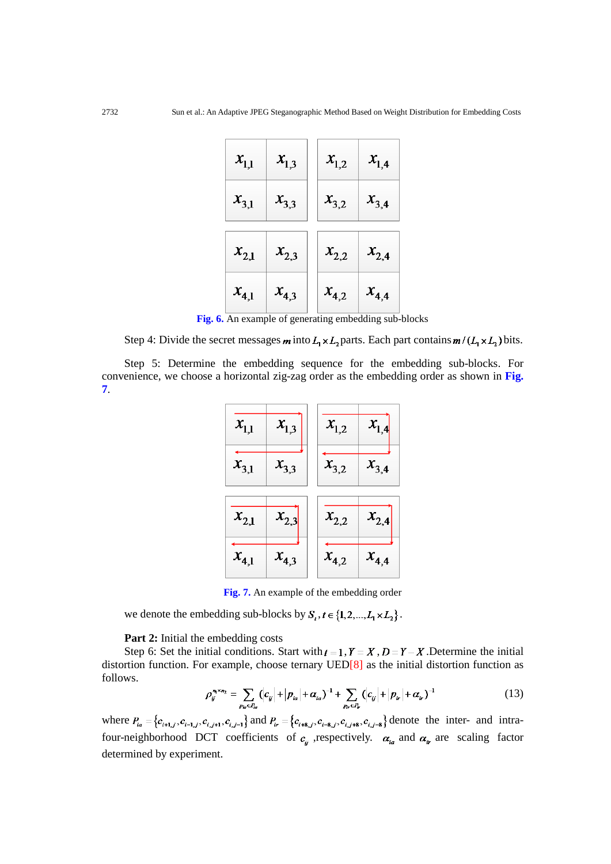

**Fig. 6.** An example of generating embedding sub-blocks

Step 4: Divide the secret messages m into  $L_1 \times L_2$  parts. Each part contains m/( $L_1 \times L_2$ ) bits.

Step 5: Determine the embedding sequence for the embedding sub-blocks. For convenience, we choose a horizontal zig-zag order as the embedding order as shown in **Fig. 7**.



**Fig. 7.** An example of the embedding order

we denote the embedding sub-blocks by  $S_t$ ,  $t \in \{1, 2, ..., L_1 \times L_2\}$ .

**Part 2:** Initial the embedding costs

Step 6: Set the initial conditions. Start with  $t = 1$ ,  $Y = X$ ,  $D = Y - X$ . Determine the initial distortion function. For example, choose ternary  $UED[8]$  as the initial distortion function as follows.

$$
\rho_{ij}^{n \times n_2} = \sum_{p_w \in P_{ia}} (|c_{ij}| + |p_{ia}| + \alpha_{ia})^{-1} + \sum_{p_v \in P_{\bar{r}}} (|c_{ij}| + |p_{i} + \alpha_{ir})^{-1}
$$
(13)

where  $P_{ia} = \{c_{i+1,j}, c_{i-1,j}, c_{i,j+1}, c_{i,j-1}\}$  and  $P_{ir} = \{c_{i+1,j}, c_{i-1,j}, c_{i,j+1}, c_{i,j-2}\}$  denote the inter- and intrafour-neighborhood DCT coefficients of  $c_{ii}$ , respectively.  $\alpha_{ia}$  and  $\alpha_{ii}$  are scaling factor determined by experiment.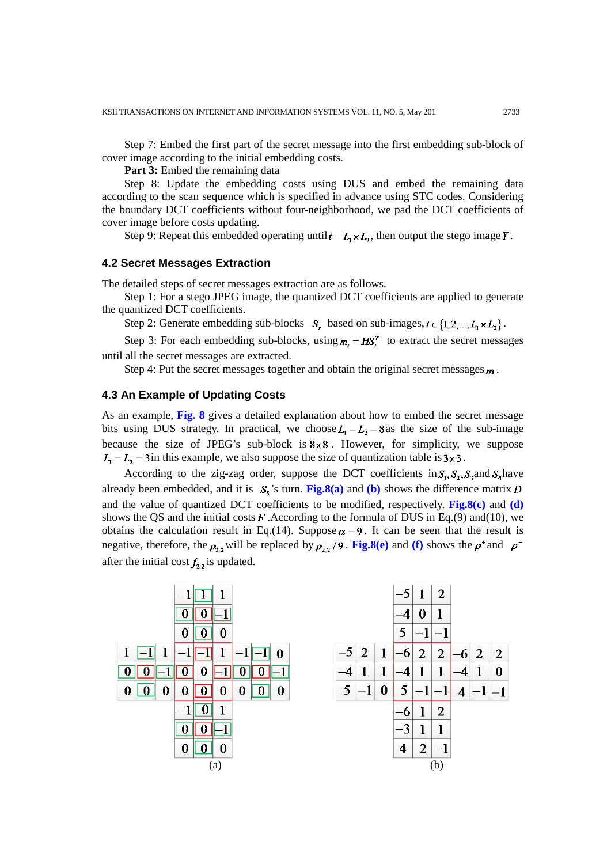Step 7: Embed the first part of the secret message into the first embedding sub-block of cover image according to the initial embedding costs.

Part 3: Embed the remaining data

Step 8: Update the embedding costs using DUS and embed the remaining data according to the scan sequence which is specified in advance using STC codes. Considering the boundary DCT coefficients without four-neighborhood, we pad the DCT coefficients of cover image before costs updating.

Step 9: Repeat this embedded operating until  $t = L_1 \times L_2$ , then output the stego image Y.

## **4.2 Secret Messages Extraction**

The detailed steps of secret messages extraction are as follows.

Step 1: For a stego JPEG image, the quantized DCT coefficients are applied to generate the quantized DCT coefficients.

Step 2: Generate embedding sub-blocks  $S_t$ , based on sub-images,  $t \in \{1, 2, ..., L_1 \times L_2\}$ .

Step 3: For each embedding sub-blocks, using  $m_r = HS_r^T$  to extract the secret messages until all the secret messages are extracted.

Step 4: Put the secret messages together and obtain the original secret messages  $\mathbf{m}$ .

#### **4.3 An Example of Updating Costs**

As an example, **Fig. 8** gives a detailed explanation about how to embed the secret message bits using DUS strategy. In practical, we choose  $L_1 = L_2 = 8$  as the size of the sub-image because the size of JPEG's sub-block is  $8 \times 8$ . However, for simplicity, we suppose  $L_1 = L_2 = 3$  in this example, we also suppose the size of quantization table is 3 x 3.

According to the zig-zag order, suppose the DCT coefficients in  $S_1, S_2, S_3$  and  $S_4$  have already been embedded, and it is  $S_5$ 's turn. **Fig.8(a)** and **(b)** shows the difference matrix D and the value of quantized DCT coefficients to be modified, respectively. **Fig.8(c)** and **(d)** shows the QS and the initial costs  $F$ . According to the formula of DUS in Eq.(9) and(10), we obtains the calculation result in Eq.(14). Suppose  $\alpha = 9$ . It can be seen that the result is negative, therefore, the  $\rho_{2,2}^-$  will be replaced by  $\rho_{2,2}^-$  /9. **Fig.8(e)** and **(f)** shows the  $\rho^+$  and  $\rho^$ after the initial cost  $f_{2,2}$  is updated.

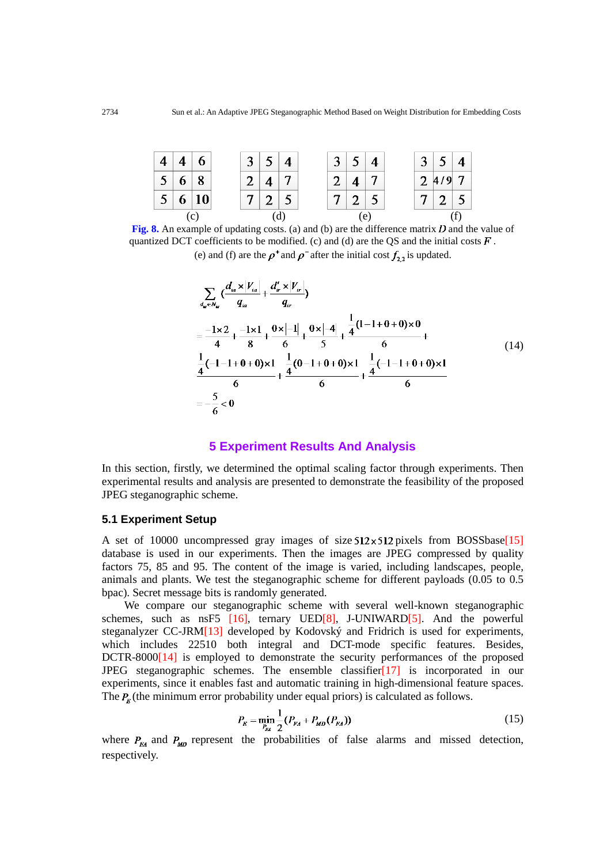|                |       |      | 3 <sup>1</sup> | $\sqrt{5}$          | $\boldsymbol{\Lambda}$ |                | $3 \mid 5 \mid 4$ |  | $3 \mid 5 \mid$ | $\overline{4}$ |
|----------------|-------|------|----------------|---------------------|------------------------|----------------|-------------------|--|-----------------|----------------|
|                | 5 6 8 |      | າ.             | $\mathbf{\Lambda}$  | $\mathbf{7}$           | 2 <sup>1</sup> | 4 7               |  | 24/97           |                |
| 5 <sup>1</sup> |       | 6 10 | 7 <sup>1</sup> | $\langle 2 \rangle$ | $\overline{5}$         |                | 7 2 5             |  | 7 2             |                |
| (c)            |       |      |                |                     |                        |                | (e)               |  |                 |                |

**Fig. 8.** An example of updating costs. (a) and (b) are the difference matrix  $D$  and the value of quantized DCT coefficients to be modified. (c) and (d) are the QS and the initial costs  $\vec{F}$ . (e) and (f) are the  $\rho^*$  and  $\rho^-$  after the initial cost  $f_{3,2}$  is updated.

$$
\sum_{d_{\mu} \in N_{\mu}} \left( \frac{d_{\mu} \times |V_{i\alpha}|}{q_{\mu}} + \frac{d_{\nu}^{\prime} \times |V_{i\alpha}|}{q_{\nu}} \right)
$$
\n
$$
= \frac{-1 \times 2}{4} + \frac{-1 \times 1}{8} + \frac{0 \times |-1|}{6} + \frac{0 \times |-4|}{5} + \frac{\frac{1}{4}(1 - 1 + 0 + 0) \times 0}{6} + \frac{\frac{1}{4}(-1 - 1 + 0 + 0) \times 1}{4} + \frac{\frac{1}{4}(0 - 1 + 0 + 0) \times 1}{6} + \frac{\frac{1}{4}(-1 - 1 + 0 + 0) \times 1}{6} = -\frac{5}{6} < 0
$$
\n(14)

# **5 Experiment Results And Analysis**

In this section, firstly, we determined the optimal scaling factor through experiments. Then experimental results and analysis are presented to demonstrate the feasibility of the proposed JPEG steganographic scheme.

#### **5.1 Experiment Setup**

A set of 10000 uncompressed gray images of size  $512 \times 512$  pixels from BOSSbase[15] database is used in our experiments. Then the images are JPEG compressed by quality factors 75, 85 and 95. The content of the image is varied, including landscapes, people, animals and plants. We test the steganographic scheme for different payloads (0.05 to 0.5 bpac). Secret message bits is randomly generated.

We compare our steganographic scheme with several well-known steganographic schemes, such as nsF5  $[16]$ , ternary UED $[8]$ , J-UNIWARD $[5]$ . And the powerful steganalyzer CC-JRM[13] developed by Kodovský and Fridrich is used for experiments, which includes 22510 both integral and DCT-mode specific features. Besides, DCTR-8000[14] is employed to demonstrate the security performances of the proposed JPEG steganographic schemes. The ensemble classifier[17] is incorporated in our experiments, since it enables fast and automatic training in high-dimensional feature spaces. The  $P_{\kappa}$  (the minimum error probability under equal priors) is calculated as follows.

$$
P_E = \min_{P_{FA}} \frac{1}{2} (P_{FA} + P_{MD}(P_{FA}))
$$
\n(15)

where  $P_{EA}$  and  $P_{AB}$  represent the probabilities of false alarms and missed detection, respectively.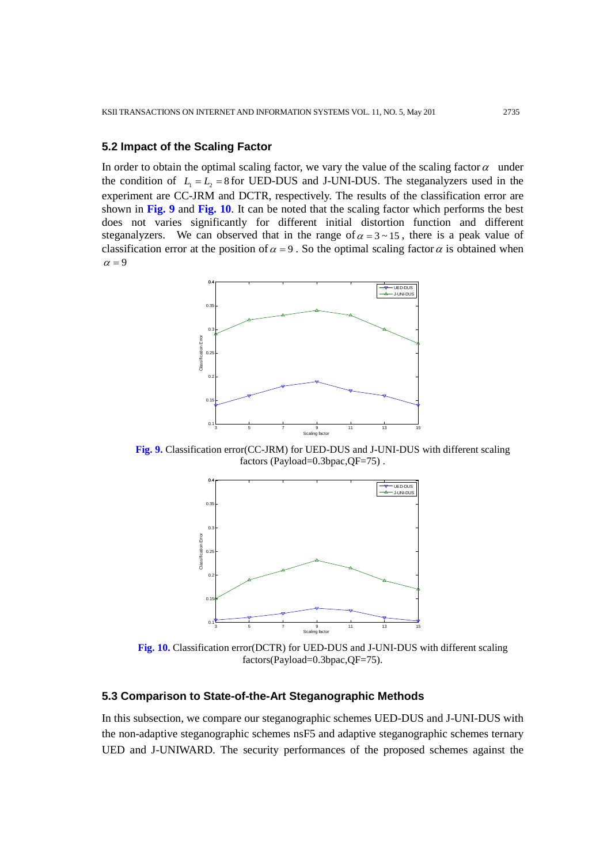# **5.2 Impact of the Scaling Factor**

In order to obtain the optimal scaling factor, we vary the value of the scaling factor  $\alpha$  under the condition of  $L_1 = L_2 = 8$  for UED-DUS and J-UNI-DUS. The steganalyzers used in the experiment are CC-JRM and DCTR, respectively. The results of the classification error are shown in **Fig. 9** and **Fig. 10**. It can be noted that the scaling factor which performs the best does not varies significantly for different initial distortion function and different steganalyzers. We can observed that in the range of  $\alpha = 3 \sim 15$ , there is a peak value of classification error at the position of  $\alpha = 9$ . So the optimal scaling factor  $\alpha$  is obtained when  $\alpha = 9$ 



**Fig. 9.** Classification error(CC-JRM) for UED-DUS and J-UNI-DUS with different scaling factors (Payload=0.3bpac,QF=75) .



**Fig. 10.** Classification error(DCTR) for UED-DUS and J-UNI-DUS with different scaling factors(Payload=0.3bpac,QF=75).

#### **5.3 Comparison to State-of-the-Art Steganographic Methods**

In this subsection, we compare our steganographic schemes UED-DUS and J-UNI-DUS with the non-adaptive steganographic schemes nsF5 and adaptive steganographic schemes ternary UED and J-UNIWARD. The security performances of the proposed schemes against the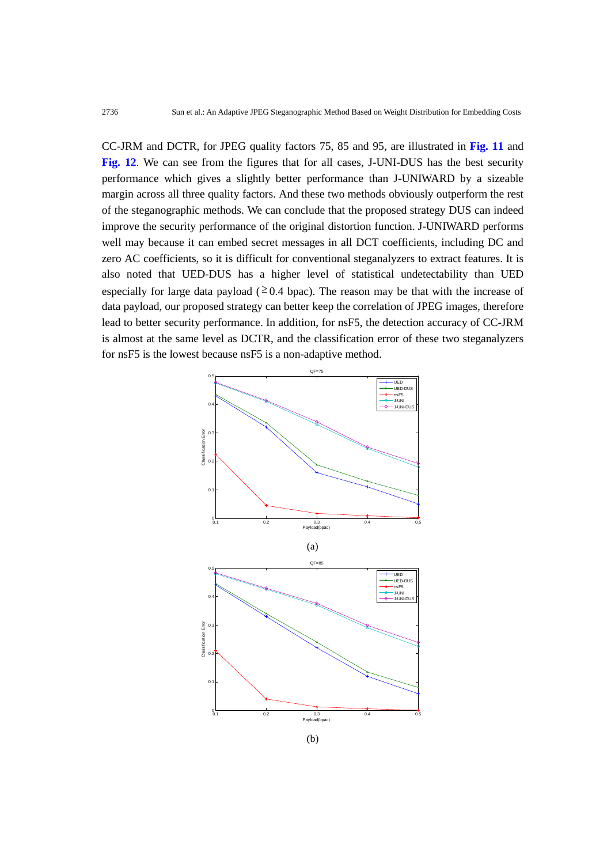CC-JRM and DCTR, for JPEG quality factors 75, 85 and 95, are illustrated in **Fig. 11** and **Fig. 12**. We can see from the figures that for all cases, J-UNI-DUS has the best security performance which gives a slightly better performance than J-UNIWARD by a sizeable margin across all three quality factors. And these two methods obviously outperform the rest of the steganographic methods. We can conclude that the proposed strategy DUS can indeed improve the security performance of the original distortion function. J-UNIWARD performs well may because it can embed secret messages in all DCT coefficients, including DC and zero AC coefficients, so it is difficult for conventional steganalyzers to extract features. It is also noted that UED-DUS has a higher level of statistical undetectability than UED especially for large data payload ( $\geq 0.4$  bpac). The reason may be that with the increase of data payload, our proposed strategy can better keep the correlation of JPEG images, therefore lead to better security performance. In addition, for nsF5, the detection accuracy of CC-JRM is almost at the same level as DCTR, and the classification error of these two steganalyzers for nsF5 is the lowest because nsF5 is a non-adaptive method.



(b)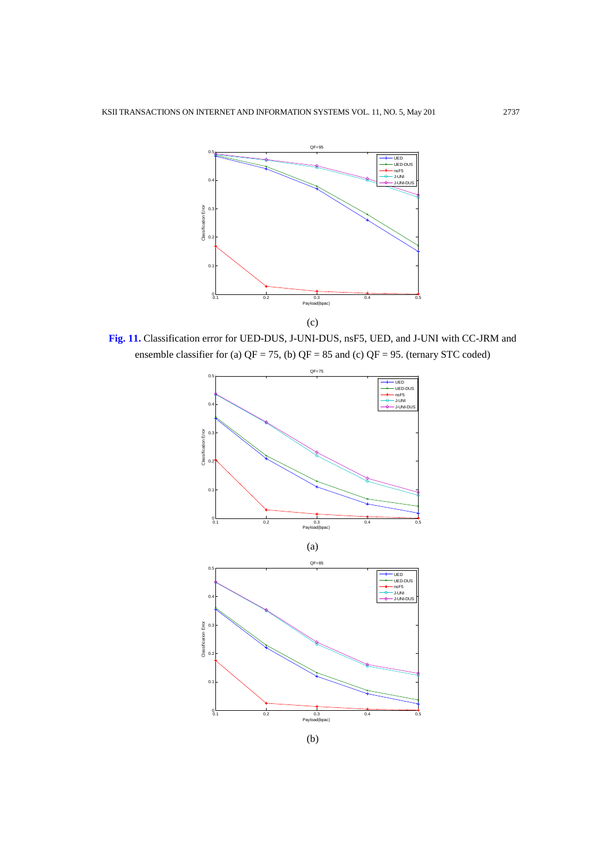

**Fig. 11.** Classification error for UED-DUS, J-UNI-DUS, nsF5, UED, and J-UNI with CC-JRM and ensemble classifier for (a)  $QF = 75$ , (b)  $QF = 85$  and (c)  $QF = 95$ . (ternary STC coded)



<sup>(</sup>b)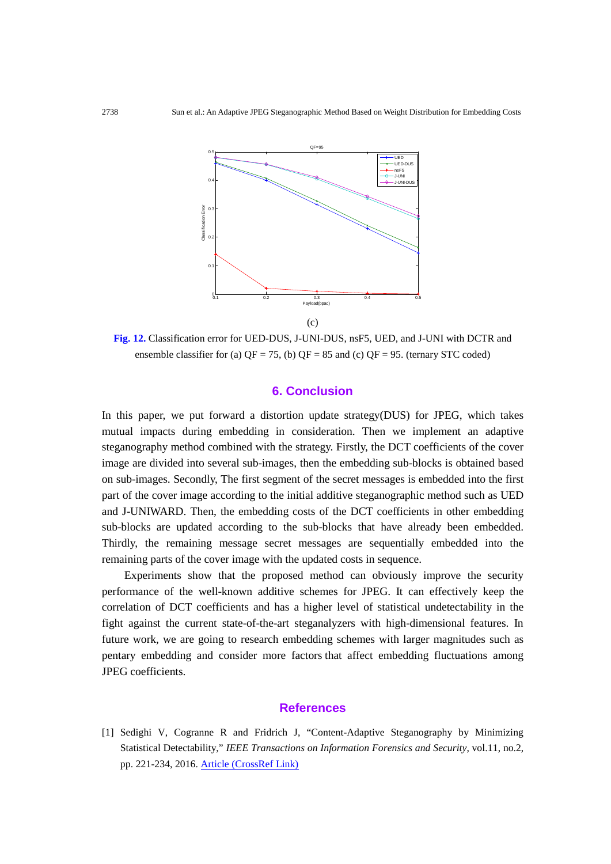

**Fig. 12.** Classification error for UED-DUS, J-UNI-DUS, nsF5, UED, and J-UNI with DCTR and ensemble classifier for (a)  $OF = 75$ , (b)  $OF = 85$  and (c)  $OF = 95$ . (ternary STC coded)

# **6. Conclusion**

In this paper, we put forward a distortion update strategy(DUS) for JPEG, which takes mutual impacts during embedding in consideration. Then we implement an adaptive steganography method combined with the strategy. Firstly, the DCT coefficients of the cover image are divided into several sub-images, then the embedding sub-blocks is obtained based on sub-images. Secondly, The first segment of the secret messages is embedded into the first part of the cover image according to the initial additive steganographic method such as UED and J-UNIWARD. Then, the embedding costs of the DCT coefficients in other embedding sub-blocks are updated according to the sub-blocks that have already been embedded. Thirdly, the remaining message secret messages are sequentially embedded into the remaining parts of the cover image with the updated costs in sequence.

Experiments show that the proposed method can obviously improve the security performance of the well-known additive schemes for JPEG. It can effectively keep the correlation of DCT coefficients and has a higher level of statistical undetectability in the fight against the current state-of-the-art steganalyzers with high-dimensional features. In future work, we are going to research embedding schemes with larger magnitudes such as pentary embedding and consider more factors that affect embedding fluctuations among JPEG coefficients.

### **References**

[1] Sedighi V, Cogranne R and Fridrich J, "Content-Adaptive Steganography by Minimizing Statistical Detectability," *IEEE Transactions on Information Forensics and Security*, vol.11, no.2, pp. 221-234, 2016. [Article \(CrossRef Link\)](http://dx.doi.org/doi:10.1109/tifs.2015.2486744)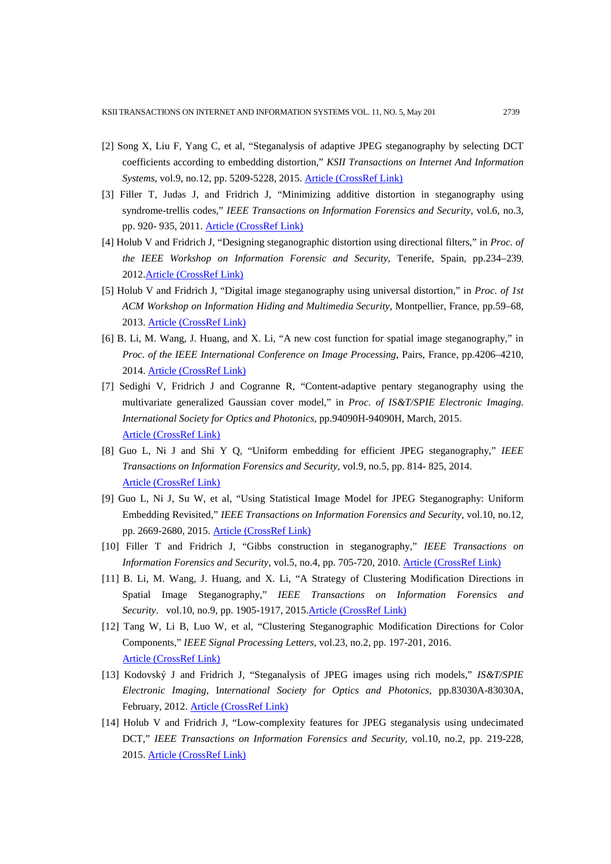- [2] Song X, Liu F, Yang C, et al, "Steganalysis of adaptive JPEG steganography by selecting DCT coefficients according to embedding distortion," *KSII Transactions on Internet And Information Systems*, vol.9, no.12, pp. 5209-5228, 2015. [Article \(CrossRef Link\)](http://dx.doi.org/doi:10.3837/TIIS.2015.12.026)
- [3] Filler T, Judas J, and Fridrich J, "Minimizing additive distortion in steganography using syndrome-trellis codes," *IEEE Transactions on Information Forensics and Security*, vol.6, no.3, pp. 920- 935, 2011. [Article \(CrossRef Link\)](http://dx.doi.org/doi:10.1109/TIFS.2011.2134094)
- [4] Holub V and Fridrich J, "Designing steganographic distortion using directional filters," in *Proc. of the IEEE Workshop on Information Forensic and Security*, Tenerife, Spain, pp.234–239, 2012[.Article \(CrossRef Link\)](http://dx.doi.org/doi:10.1109/WIFS.2012.6412655)
- [5] Holub V and Fridrich J, "Digital image steganography using universal distortion," in *Proc. of 1st ACM Workshop on Information Hiding and Multimedia Security*, Montpellier, France, pp.59–68, 2013. [Article \(CrossRef Link\)](http://dx.doi.org/doi:10.1145/2482513.2482514)
- [6] B. Li, M. Wang, J. Huang, and X. Li, "A new cost function for spatial image steganography," in *Proc. of the IEEE International Conference on Image Processing*, Pairs, France, pp.4206–4210, 2014. [Article \(CrossRef Link\)](http://dx.doi.org/doi:10.1109/ICIP.2014.7025854)
- [7] Sedighi V, Fridrich J and Cogranne R, "Content-adaptive pentary steganography using the multivariate generalized Gaussian cover model," in *Proc. of IS&T/SPIE Electronic Imaging. International Society for Optics and Photonics*, pp.94090H-94090H, March, 2015. [Article \(CrossRef Link\)](http://dx.doi.org/doi:10.1117/12.2080272)
- [8] Guo L, Ni J and Shi Y Q, "Uniform embedding for efficient JPEG steganography," *IEEE Transactions on Information Forensics and Security*, vol.9, no.5, pp. 814- 825, 2014. [Article \(CrossRef Link\)](http://dx.doi.org/doi:10.1109/tifs.2014.2312817)
- [9] Guo L, Ni J, Su W, et al, "Using Statistical Image Model for JPEG Steganography: Uniform Embedding Revisited," *IEEE Transactions on Information Forensics and Security*, vol.10, no.12, pp. 2669-2680, 2015[. Article \(CrossRef Link\)](http://dx.doi.org/doi:10.1109/TIFS.2015.2473815)
- [10] Filler T and Fridrich J, "Gibbs construction in steganography," *IEEE Transactions on Information Forensics and Security*, vol.5, no.4, pp. 705-720, 2010. [Article \(CrossRef Link\)](http://dx.doi.org/doi:10.1109/TIFS.2010.2077629)
- [11] B. Li, M. Wang, J. Huang, and X. Li, "A Strategy of Clustering Modification Directions in Spatial Image Steganography," *IEEE Transactions on Information Forensics and Security*, vol.10, no.9, pp. 1905-1917, 201[5.Article \(CrossRef Link\)](http://dx.doi.org/doi:10.1109/TIFS.2015.2434600)
- [12] Tang W, Li B, Luo W, et al, "Clustering Steganographic Modification Directions for Color Components," *IEEE Signal Processing Letters*, vol.23, no.2, pp. 197-201, 2016. [Article \(CrossRef Link\)](http://dx.doi.org/doi:10.1109/LSP.2015.2504583)
- [13] Kodovský J and Fridrich J, "Steganalysis of JPEG images using rich models," *IS&T/SPIE Electronic Imaging*, I*nternational Society for Optics and Photonics*, pp.83030A-83030A, February, 2012. [Article \(CrossRef Link\)](http://dx.doi.org/doi:10.1117/12.907495)
- [14] Holub V and Fridrich J, "Low-complexity features for JPEG steganalysis using undecimated DCT," *IEEE Transactions on Information Forensics and Security*, vol.10, no.2, pp. 219-228, 2015. [Article \(CrossRef Link\)](http://dx.doi.org/doi:10.1109/TIFS.2014.2364918)